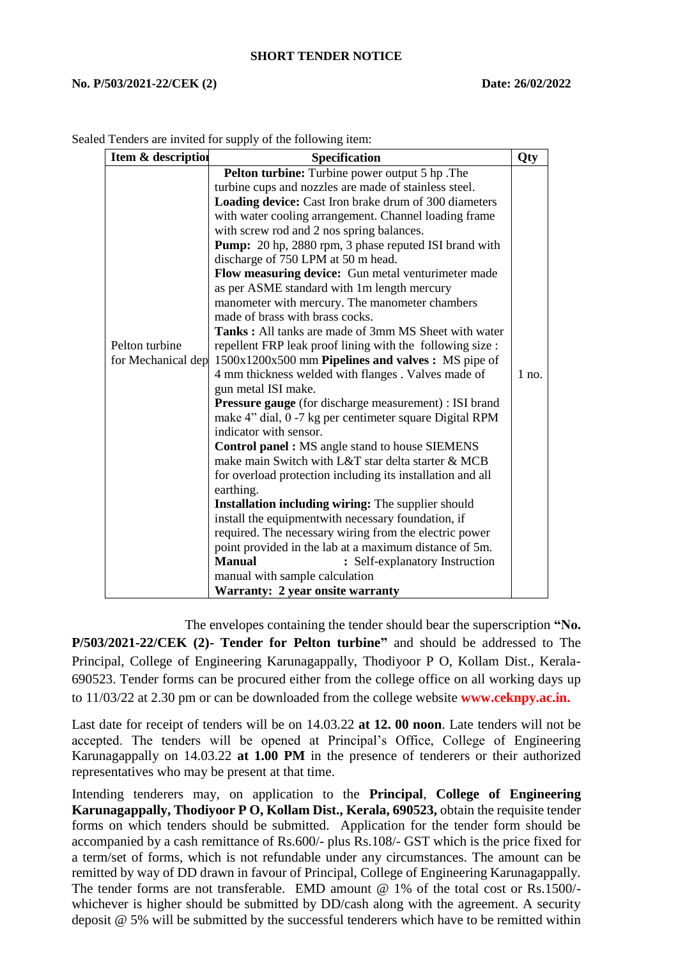## **SHORT TENDER NOTICE**

## **No. P/503/2021-22/CEK (2) Date: 26/02/2022**

| Item & description                   | <b>Specification</b>                                                                                         | Qty     |
|--------------------------------------|--------------------------------------------------------------------------------------------------------------|---------|
|                                      | Pelton turbine: Turbine power output 5 hp. The                                                               |         |
|                                      | turbine cups and nozzles are made of stainless steel.                                                        |         |
|                                      | Loading device: Cast Iron brake drum of 300 diameters                                                        |         |
|                                      | with water cooling arrangement. Channel loading frame                                                        |         |
|                                      | with screw rod and 2 nos spring balances.                                                                    |         |
|                                      | Pump: 20 hp, 2880 rpm, 3 phase reputed ISI brand with                                                        |         |
| Pelton turbine<br>for Mechanical dep | discharge of 750 LPM at 50 m head.                                                                           |         |
|                                      | Flow measuring device: Gun metal venturimeter made                                                           |         |
|                                      | as per ASME standard with 1m length mercury                                                                  |         |
|                                      | manometer with mercury. The manometer chambers                                                               |         |
|                                      | made of brass with brass cocks.                                                                              |         |
|                                      | <b>Tanks:</b> All tanks are made of 3mm MS Sheet with water                                                  |         |
|                                      | repellent FRP leak proof lining with the following size :                                                    |         |
|                                      | 1500x1200x500 mm Pipelines and valves : MS pipe of                                                           |         |
|                                      | 4 mm thickness welded with flanges. Valves made of                                                           | $1$ no. |
|                                      | gun metal ISI make.                                                                                          |         |
|                                      | <b>Pressure gauge</b> (for discharge measurement) : ISI brand                                                |         |
|                                      | make 4" dial, 0 -7 kg per centimeter square Digital RPM                                                      |         |
|                                      | indicator with sensor.                                                                                       |         |
|                                      | <b>Control panel : MS</b> angle stand to house SIEMENS<br>make main Switch with L&T star delta starter & MCB |         |
|                                      |                                                                                                              |         |
|                                      | for overload protection including its installation and all                                                   |         |
|                                      | earthing.<br>Installation including wiring: The supplier should                                              |         |
|                                      | install the equipmentwith necessary foundation, if                                                           |         |
|                                      | required. The necessary wiring from the electric power                                                       |         |
|                                      | point provided in the lab at a maximum distance of 5m.                                                       |         |
|                                      | <b>Manual</b><br>: Self-explanatory Instruction                                                              |         |
|                                      | manual with sample calculation                                                                               |         |
|                                      | Warranty: 2 year onsite warranty                                                                             |         |

Sealed Tenders are invited for supply of the following item:

 The envelopes containing the tender should bear the superscription **"No. P/503/2021-22/CEK (2)- Tender for Pelton turbine"** and should be addressed to The Principal, College of Engineering Karunagappally, Thodiyoor P O, Kollam Dist., Kerala-690523. Tender forms can be procured either from the college office on all working days up to 11/03/22 at 2.30 pm or can be downloaded from the college website **www.ceknpy.ac.in.**

Last date for receipt of tenders will be on 14.03.22 **at 12. 00 noon**. Late tenders will not be accepted. The tenders will be opened at Principal's Office, College of Engineering Karunagappally on 14.03.22 **at 1.00 PM** in the presence of tenderers or their authorized representatives who may be present at that time.

Intending tenderers may, on application to the **Principal**, **College of Engineering Karunagappally, Thodiyoor P O, Kollam Dist., Kerala, 690523,** obtain the requisite tender forms on which tenders should be submitted. Application for the tender form should be accompanied by a cash remittance of Rs.600/- plus Rs.108/- GST which is the price fixed for a term/set of forms, which is not refundable under any circumstances. The amount can be remitted by way of DD drawn in favour of Principal, College of Engineering Karunagappally. The tender forms are not transferable. EMD amount @ 1% of the total cost or Rs.1500/whichever is higher should be submitted by DD/cash along with the agreement. A security deposit @ 5% will be submitted by the successful tenderers which have to be remitted within